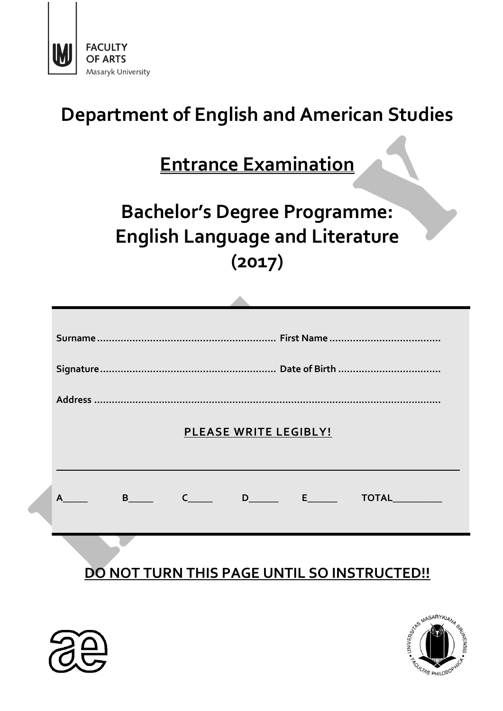

# **Department of English and American Studies**

# **Entrance Examination**

# **Bachelor's Degree Programme: English Language and Literature (2017)**

**Allen** 

| PLEASE WRITE LEGIBLY!                              |  |  |
|----------------------------------------------------|--|--|
|                                                    |  |  |
| B C D E TOTAL<br>A                                 |  |  |
|                                                    |  |  |
|                                                    |  |  |
| <b>DO NOT TURN THIS PAGE UNTIL SO INSTRUCTED!!</b> |  |  |



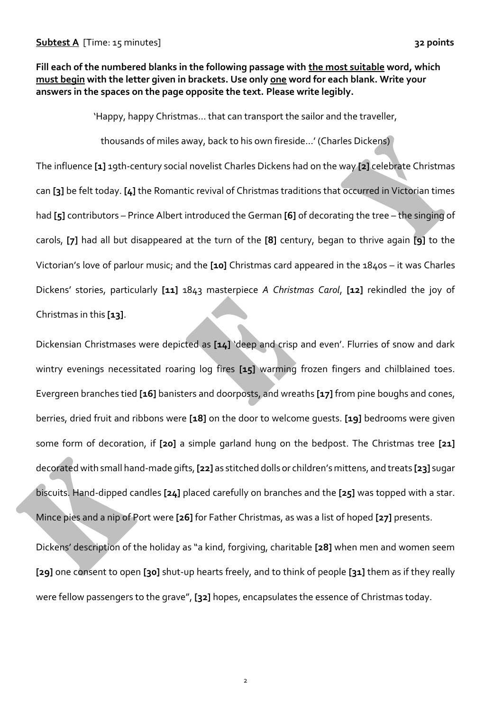# **Fill each of the numbered blanks in the following passage with the most suitable word, which must begin with the letter given in brackets. Use only one word for each blank. Write your answers in the spaces on the page opposite the text. Please write legibly.**

'Happy, happy Christmas… that can transport the sailor and the traveller,

thousands of miles away, back to his own fireside…' (Charles Dickens)

The influence **[1]** 19th-century social novelist Charles Dickens had on the way **[2]** celebrate Christmas can **[3]** be felt today. **[4]** the Romantic revival of Christmas traditions that occurred in Victorian times had **[5]** contributors – Prince Albert introduced the German **[6]** of decorating the tree – the singing of carols, **[7]** had all but disappeared at the turn of the **[8]** century, began to thrive again **[9]** to the Victorian's love of parlour music; and the **[10]** Christmas card appeared in the 1840s – it was Charles Dickens' stories, particularly **[11]** 1843 masterpiece *A Christmas Carol*, **[12]** rekindled the joy of Christmas in this **[13]**.

Dickensian Christmases were depicted as **[14]** 'deep and crisp and even'. Flurries of snow and dark wintry evenings necessitated roaring log fires **[15]** warming frozen fingers and chilblained toes. Evergreen branches tied **[16]** banisters and doorposts, and wreaths **[17]** from pine boughs and cones, berries, dried fruit and ribbons were **[18]** on the door to welcome guests. **[19]** bedrooms were given some form of decoration, if **[20]** a simple garland hung on the bedpost. The Christmas tree **[21]** decorated with small hand-made gifts, **[22]** as stitched dolls or children's mittens, and treats **[23]** sugar biscuits. Hand-dipped candles **[24]** placed carefully on branches and the **[25]** was topped with a star. Mince pies and a nip of Port were **[26]** for Father Christmas, as was a list of hoped **[27]** presents.

Dickens' description of the holiday as "a kind, forgiving, charitable **[28]** when men and women seem **[29]** one consent to open **[30]** shut-up hearts freely, and to think of people **[31]** them as if they really were fellow passengers to the grave", **[32]** hopes, encapsulates the essence of Christmas today.

 $\overline{2}$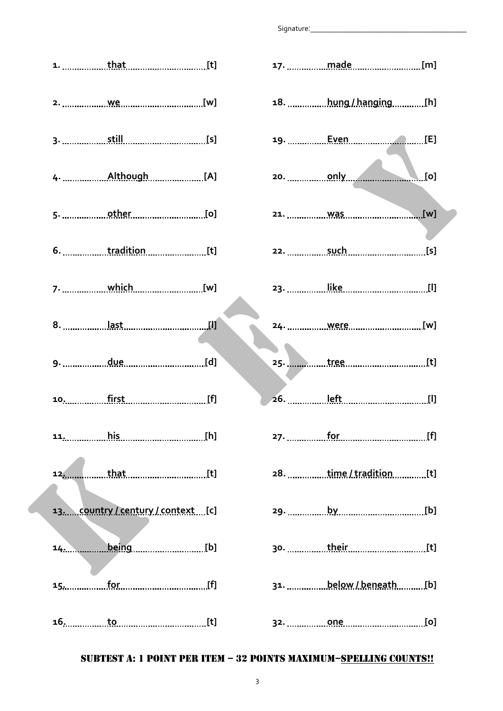|                        | [t]            |  |
|------------------------|----------------|--|
| 18.  hung / hanging[h] | [w]            |  |
|                        | [s]            |  |
| $\blacksquare$ [0]     | [A]            |  |
|                        | [0]            |  |
|                        | [t]            |  |
|                        | ___________[w] |  |
| 24. <u>were</u> [w]    |                |  |
|                        | [d]            |  |
|                        | <u>[f]</u>     |  |
|                        | <u>.</u> [h]   |  |
| 28. time/tradition[t]  | [t]            |  |
|                        | ntext[c]       |  |
|                        | [b]            |  |
| 31. below / beneath[b] | [f]            |  |
|                        | [t]            |  |

# **1. that [t] 2. we [w] 3. still [s] 4. Although [A] 5. other [o] 6. tradition [t] 7. which [w] 8. last [l] 9. due [d] 10. first [f] 11. his [h] 12. that** *m n n n n n n n n n n n n n n n n n n n n n n n n n n n n n n n n n n* **13. country / century / context [c]** 14. **being** *m* **15. for [f] 16. to** *fo n n n n n n n n n n n n* **<b>***n n n n n n n n n n n n n n n n n n n n n n*

## SUBTEST A: 1 POINT PER ITEM – 32 POINTS MAXIMUM–SPELLING COUNTS!!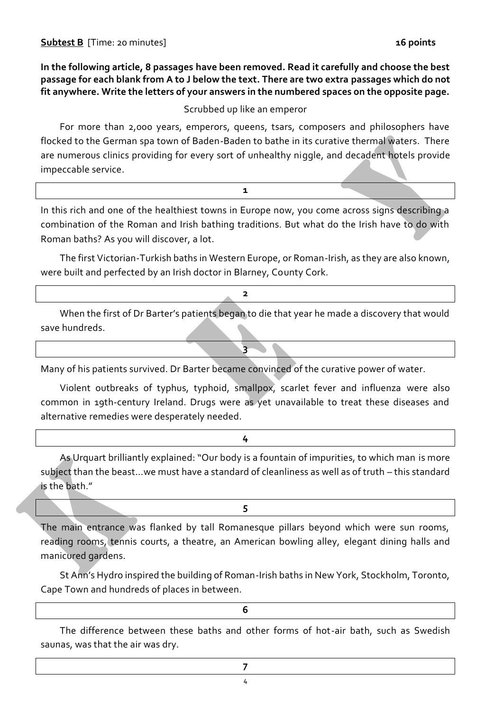Scrubbed up like an emperor

For more than 2,000 years, emperors, queens, tsars, composers and philosophers have flocked to the German spa town of Baden-Baden to bathe in its curative thermal waters. There are numerous clinics providing for every sort of unhealthy niggle, and decadent hotels provide impeccable service.

| In this rich and one of the healthiest towns in Europe now, you come across signs describing a |  |
|------------------------------------------------------------------------------------------------|--|
| combination of the Roman and Irish bathing traditions. But what do the Irish have to do with   |  |
| Roman baths? As you will discover, a lot.                                                      |  |

**1**

The first Victorian-Turkish baths in Western Europe, or Roman-Irish, as they are also known, were built and perfected by an Irish doctor in Blarney, County Cork.

| When the first of Dr Barter's patients began to die that year he made a discovery that would |  |  |  |  |
|----------------------------------------------------------------------------------------------|--|--|--|--|
| save hundreds.                                                                               |  |  |  |  |

**3**

Many of his patients survived. Dr Barter became convinced of the curative power of water.

Violent outbreaks of typhus, typhoid, smallpox, scarlet fever and influenza were also common in 19th-century Ireland. Drugs were as yet unavailable to treat these diseases and alternative remedies were desperately needed.

**4**

As Urquart brilliantly explained: "Our body is a fountain of impurities, to which man is more subject than the beast…we must have a standard of cleanliness as well as of truth – this standard is the bath."

The main entrance was flanked by tall Romanesque pillars beyond which were sun rooms, reading rooms, tennis courts, a theatre, an American bowling alley, elegant dining halls and manicured gardens.

**5**

St Ann's Hydro inspired the building of Roman-Irish baths in New York, Stockholm, Toronto, Cape Town and hundreds of places in between.

**6**

The difference between these baths and other forms of hot-air bath, such as Swedish saunas, was that the air was dry.

4 **7**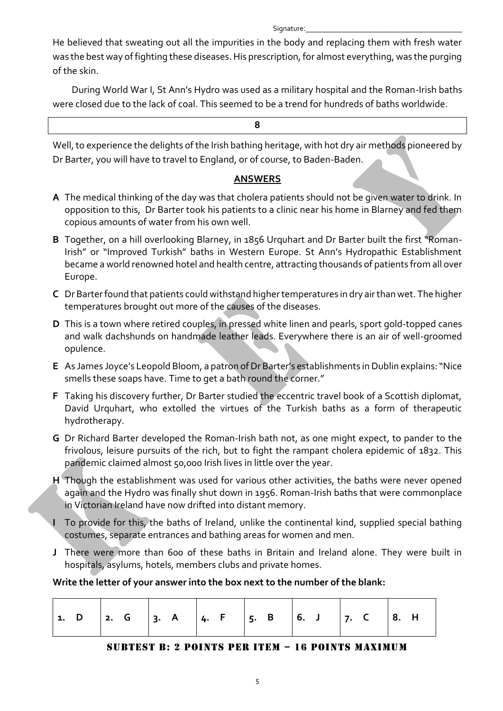He believed that sweating out all the impurities in the body and replacing them with fresh water was the best way of fighting these diseases. His prescription, for almost everything, was the purging of the skin.

During World War I, St Ann's Hydro was used as a military hospital and the Roman-Irish baths were closed due to the lack of coal. This seemed to be a trend for hundreds of baths worldwide.

#### **8**

Well, to experience the delights of the Irish bathing heritage, with hot dry air methods pioneered by Dr Barter, you will have to travel to England, or of course, to Baden-Baden.

## **ANSWERS**

- **A** The medical thinking of the day was that cholera patients should not be given water to drink. In opposition to this, Dr Barter took his patients to a clinic near his home in Blarney and fed them copious amounts of water from his own well.
- **B** Together, on a hill overlooking Blarney, in 1856 Urquhart and Dr Barter built the first "Roman-Irish" or "Improved Turkish" baths in Western Europe. St Ann's Hydropathic Establishment became a world renowned hotel and health centre, attracting thousands of patients from all over Europe.
- **C** Dr Barter found that patients could withstand higher temperatures in dry air than wet. The higher temperatures brought out more of the causes of the diseases.
- **D** This is a town where retired couples, in pressed white linen and pearls, sport gold-topped canes and walk dachshunds on handmade leather leads. Everywhere there is an air of well-groomed opulence.
- **E** As James Joyce's Leopold Bloom, a patron of Dr Barter's establishments in Dublin explains: "Nice smells these soaps have. Time to get a bath round the corner."
- **F** Taking his discovery further, Dr Barter studied the eccentric travel book of a Scottish diplomat, David Urquhart, who extolled the virtues of the Turkish baths as a form of therapeutic hydrotherapy.
- **G** Dr Richard Barter developed the Roman-Irish bath not, as one might expect, to pander to the frivolous, leisure pursuits of the rich, but to fight the rampant cholera epidemic of 1832. This pandemic claimed almost 50,000 Irish lives in little over the year.
- **H** Though the establishment was used for various other activities, the baths were never opened again and the Hydro was finally shut down in 1956. Roman-Irish baths that were commonplace in Victorian Ireland have now drifted into distant memory.
- **I** To provide for this, the baths of Ireland, unlike the continental kind, supplied special bathing costumes, separate entrances and bathing areas for women and men.
- **J** There were more than 600 of these baths in Britain and Ireland alone. They were built in hospitals, asylums, hotels, members clubs and private homes.

## **Write the letter of your answer into the box next to the number of the blank:**

| $\vert$ 1. D $\vert$ 2. G $\vert$ 3. A $\vert$ 4. F $\vert$ 5. B $\vert$ 6. J $\vert$ 7. C $\vert$ 8. H |  |  |  |  |
|---------------------------------------------------------------------------------------------------------|--|--|--|--|
|---------------------------------------------------------------------------------------------------------|--|--|--|--|

#### SUBTEST B: 2 POINTS PER ITEM – 16 POINTS MAXIMUM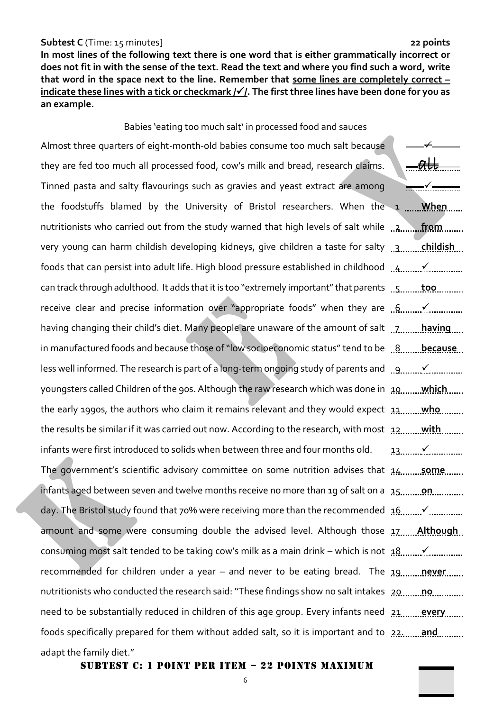#### **Subtest C** (Time: 15 minutes] **22 points**

**In most lines of the following text there is one word that is either grammatically incorrect or does not fit in with the sense of the text. Read the text and where you find such a word, write that word in the space next to the line. Remember that some lines are completely correct – indicate these lines with a tick or checkmark //. The first three lines have been done for you as an example.**

## Babies 'eating too much salt' in processed food and sauces

Almost three quarters of eight-month-old babies consume too much salt because they are fed too much all processed food, cow's milk and bread, research claims. Tinned pasta and salty flavourings such as gravies and yeast extract are among the foodstuffs blamed by the University of Bristol researchers. When the 1 <u>.......**When**</u> nutritionists who carried out from the study warned that high levels of salt while 12, 19, 19, 19, 19, 19, 19 very young can harm childish developing kidneys, give children a taste for salty .<u>.3........ **childish**</u> foods that can persist into adult life. High blood pressure established in childhood  $\ldots$ 4........ $\checkmark$ can track through adulthood. It adds that it is too "extremely important" that parents wish with the receive clear and precise information over "appropriate foods" when they are  $[6, 6, 6]$ having changing their child's diet. Many people are unaware of the amount of salt 1978 merring in manufactured foods and because those of "low socioeconomic status" tend to be <u>…8…….. because</u> less well informed. The research is part of a long-term ongoing study of parents and  $\Box$ 9......... $\checkmark$ youngsters called Children of the 90s. Although the raw research which was done in 10 **which** the early 1990s, the authors who claim it remains relevant and they would expect 11 **who** the results be similar if it was carried out now. According to the research, with most 12 **with** infants were first introduced to solids when between three and four months old. The government's scientific advisory committee on some nutrition advises that 14.............................. infants aged between seven and twelve months receive no more than 1g of salt on a 15.........**.on** day. The Bristol study found that 70% were receiving more than the recommended 16 ... Y amount and some were consuming double the advised level. Although those 17 **Although** consuming most salt tended to be taking cow's milk as a main drink – which is not 18 ... √ recommended for children under a year – and never to be eating bread. The <u>19........**never**</u> nutritionists who conducted the research said: "These findings show no salt intakes 20 mm. need to be substantially reduced in children of this age group. Every infants need <u>21.........**every**</u> foods specifically prepared for them without added salt, so it is important and to 22. **and** adapt the family diet."  $\overline{\phantom{0}}$  $-\theta$ ll <del>\_\_\_≮\_\_\_\_\_\_</del> 13

#### SUBTEST c: 1 POINT PER ITEM – 22 POINTS MAXIMUM

6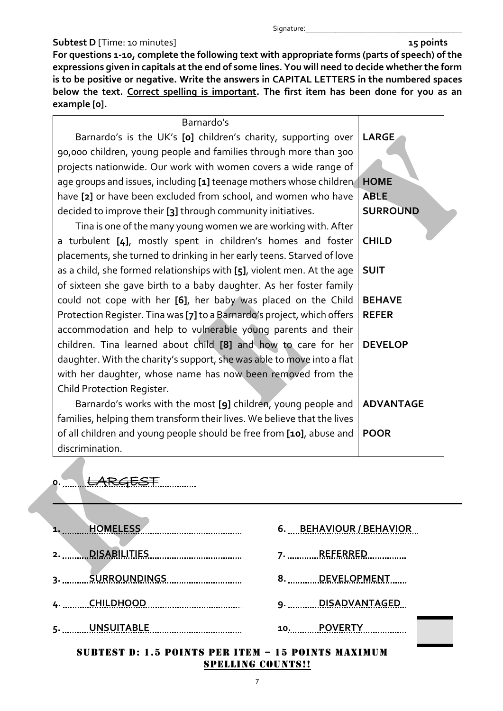## **Subtest D** [Time: 10 minutes] **15 points 15 points**

**For questions 1-10, complete the following text with appropriate forms (parts of speech) of the expressions given in capitals at the end of some lines. You will need to decide whether the form is to be positive or negative. Write the answers in CAPITAL LETTERS in the numbered spaces below the text. Correct spelling is important. The first item has been done for you as an example [0].**

#### Barnardo's

Barnardo's is the UK's **[0]** children's charity, supporting over 90,000 children, young people and families through more than 300 projects nationwide. Our work with women covers a wide range of age groups and issues, including **[1]** teenage mothers whose children have **[2]** or have been excluded from school, and women who have decided to improve their **[3]** through community initiatives. **LARGE HOME ABLE SURROUND**

Tina is one of the many young women we are working with. After a turbulent **[4]**, mostly spent in children's homes and foster placements, she turned to drinking in her early teens. Starved of love as a child, she formed relationships with **[5]**, violent men. At the age of sixteen she gave birth to a baby daughter. As her foster family could not cope with her **[6]**, her baby was placed on the Child Protection Register. Tina was **[7]**to a Barnardo's project, which offers accommodation and help to vulnerable young parents and their children. Tina learned about child **[8]** and how to care for her daughter. With the charity's support, she was able to move into a flat with her daughter, whose name has now been removed from the Child Protection Register. Barnardo's works with the most **[9]** children, young people and **CHILD SUIT BEHAVE REFER DEVELOP ADVANTAGE**

families, helping them transform their lives. We believe that the lives of all children and young people should be free from **[10]**, abuse and discrimination. **POOR**

# 0. ........<del>LARGEST</del>..............

| <b>HOMELESS</b>                                                             | 6. BEHAVIOUR / BEHAVIOR |
|-----------------------------------------------------------------------------|-------------------------|
| <b>DISABILITIES</b><br>2.<br>------------------- <b>-----------------</b> - | 7. REFERRED             |
| 3. <u>SURROUNDINGS</u>                                                      | 8. DEVELOPMENT          |
| 4. CHILDHOOD <b>And Allen Andrew CHILDHOOD</b>                              | 9. DISADVANTAGED        |
| 5. WASUITABLE                                                               | 10. POVERTY             |
| SUBTEST D: 1.5 POINTS PER ITEM - 15 POINTS MAXIMUM                          |                         |

# SPELLING COUNTS!!